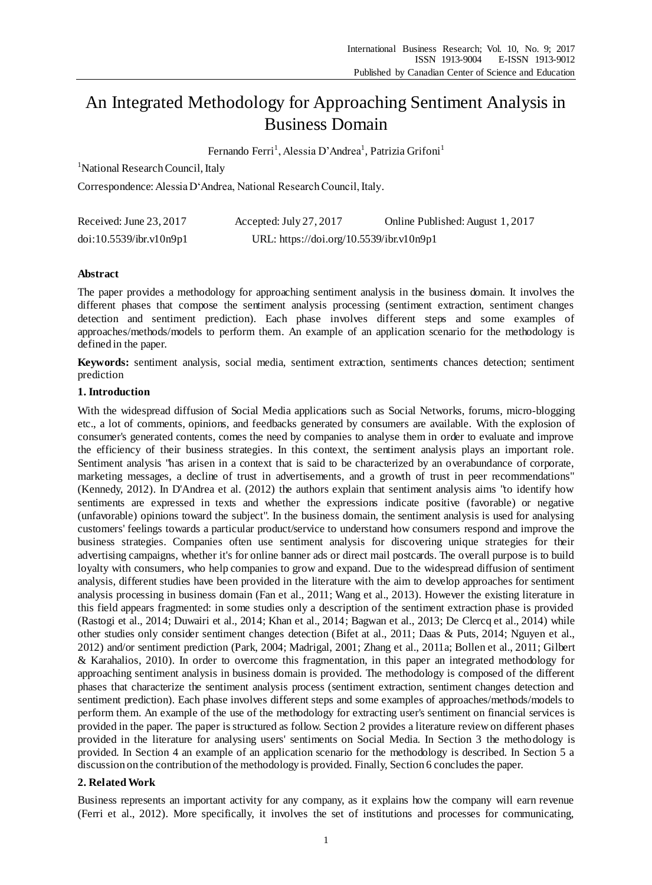# An Integrated Methodology for Approaching Sentiment Analysis in Business Domain

Fernando Ferri<sup>1</sup>, Alessia D'Andrea<sup>1</sup>, Patrizia Grifoni<sup>1</sup>

<sup>1</sup>National Research Council, Italy

Correspondence:Alessia D'Andrea, National Research Council, Italy.

| Received: June $23, 2017$ | Accepted: July 27, 2017                  | Online Published: August 1, 2017 |
|---------------------------|------------------------------------------|----------------------------------|
| doi:10.5539/ibr.v10n9p1   | URL: https://doi.org/10.5539/ibr.v10n9p1 |                                  |

## **Abstract**

The paper provides a methodology for approaching sentiment analysis in the business domain. It involves the different phases that compose the sentiment analysis processing (sentiment extraction, sentiment changes detection and sentiment prediction). Each phase involves different steps and some examples of approaches/methods/models to perform them. An example of an application scenario for the methodology is defined in the paper.

**Keywords:** sentiment analysis, social media, sentiment extraction, sentiments chances detection; sentiment prediction

## **1. Introduction**

With the widespread diffusion of Social Media applications such as Social Networks, forums, micro-blogging etc., a lot of comments, opinions, and feedbacks generated by consumers are available. With the explosion of consumer's generated contents, comes the need by companies to analyse them in order to evaluate and improve the efficiency of their business strategies. In this context, the sentiment analysis plays an important role. Sentiment analysis "has arisen in a context that is said to be characterized by an overabundance of corporate, marketing messages, a decline of trust in advertisements, and a growth of trust in peer recommendations" (Kennedy, 2012). In D'Andrea et al. (2012) the authors explain that sentiment analysis aims "to identify how sentiments are expressed in texts and whether the expressions indicate positive (favorable) or negative (unfavorable) opinions toward the subject". In the business domain, the sentiment analysis is used for analysing customers' feelings towards a particular product/service to understand how consumers respond and improve the business strategies. Companies often use sentiment analysis for discovering unique strategies for their advertising campaigns, whether it's for online banner ads or direct mail postcards. The overall purpose is to build loyalty with consumers, who help companies to grow and expand. Due to the widespread diffusion of sentiment analysis, different studies have been provided in the literature with the aim to develop approaches for sentiment analysis processing in business domain (Fan et al., 2011; Wang et al., 2013). However the existing literature in this field appears fragmented: in some studies only a description of the sentiment extraction phase is provided (Rastogi et al., 2014; Duwairi et al., 2014; Khan et al., 2014; Bagwan et al., 2013; De Clercq et al., 2014) while other studies only consider sentiment changes detection (Bifet at al., 2011; Daas & Puts, 2014; Nguyen et al., 2012) and/or sentiment prediction (Park, 2004; Madrigal, 2001; Zhang et al., 2011a; Bollen et al., 2011; Gilbert & Karahalios, 2010). In order to overcome this fragmentation, in this paper an integrated methodology for approaching sentiment analysis in business domain is provided. The methodology is composed of the different phases that characterize the sentiment analysis process (sentiment extraction, sentiment changes detection and sentiment prediction). Each phase involves different steps and some examples of approaches/methods/models to perform them. An example of the use of the methodology for extracting user's sentiment on financial services is provided in the paper. The paper is structured as follow. Section 2 provides a literature review on different phases provided in the literature for analysing users' sentiments on Social Media. In Section 3 the methodology is provided. In Section 4 an example of an application scenario for the methodology is described. In Section 5 a discussion on the contribution of the methodology is provided. Finally, Section 6 concludes the paper.

## **2. Related Work**

Business represents an important activity for any company, as it explains how the company will earn revenue (Ferri et al., 2012). More specifically, it involves the set of institutions and processes for communicating,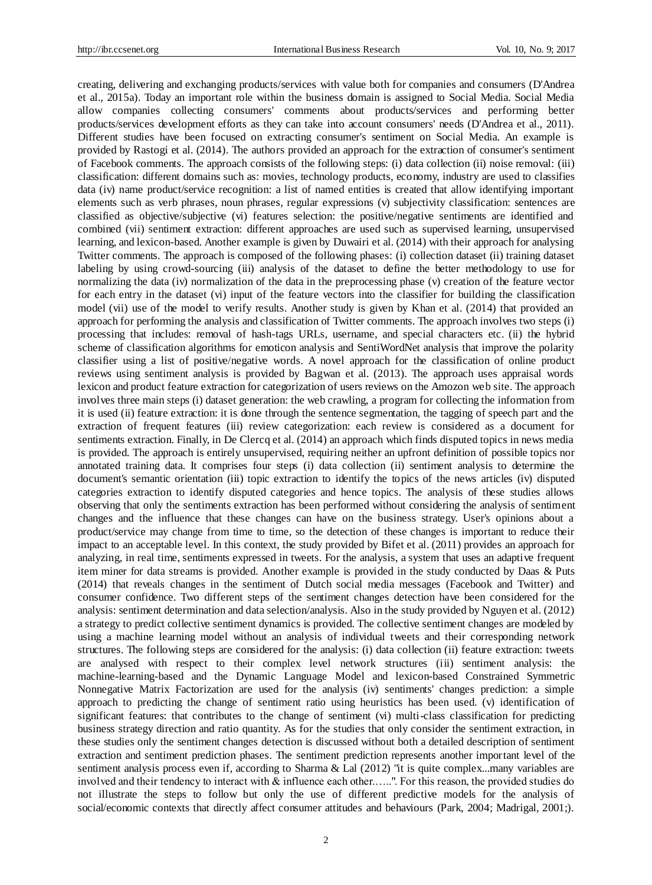creating, delivering and exchanging products/services with value both for companies and consumers (D'Andrea et al., 2015a). Today an important role within the business domain is assigned to Social Media. Social Media allow companies collecting consumers' comments about products/services and performing better products/services development efforts as they can take into account consumers' needs (D'Andrea et al., 2011). Different studies have been focused on extracting consumer's sentiment on Social Media. An example is provided by Rastogi et al. (2014). The authors provided an approach for the extraction of consumer's sentiment of Facebook comments. The approach consists of the following steps: (i) data collection (ii) noise removal: (iii) classification: different domains such as: movies, technology products, economy, industry are used to classifies data (iv) name product/service recognition: a list of named entities is created that allow identifying important elements such as verb phrases, noun phrases, regular expressions (v) subjectivity classification: sentences are classified as objective/subjective (vi) features selection: the positive/negative sentiments are identified and combined (vii) sentiment extraction: different approaches are used such as supervised learning, unsupervised learning, and lexicon-based. Another example is given by Duwairi et al. (2014) with their approach for analysing Twitter comments. The approach is composed of the following phases: (i) collection dataset (ii) training dataset labeling by using crowd-sourcing (iii) analysis of the dataset to define the better methodology to use for normalizing the data (iv) normalization of the data in the preprocessing phase (v) creation of the feature vector for each entry in the dataset (vi) input of the feature vectors into the classifier for building the classification model (vii) use of the model to verify results. Another study is given by Khan et al. (2014) that provided an approach for performing the analysis and classification of Twitter comments. The approach involves two steps (i) processing that includes: removal of hash-tags URLs, username, and special characters etc. (ii) the hybrid scheme of classification algorithms for emoticon analysis and SentiWordNet analysis that improve the polarity classifier using a list of positive/negative words. A novel approach for the classification of online product reviews using sentiment analysis is provided by Bagwan et al. (2013). The approach uses appraisal words lexicon and product feature extraction for categorization of users reviews on the Amozon web site. The approach involves three main steps (i) dataset generation: the web crawling, a program for collecting the information from it is used (ii) feature extraction: it is done through the sentence segmentation, the tagging of speech part and the extraction of frequent features (iii) review categorization: each review is considered as a document for sentiments extraction. Finally, in De Clercq et al. (2014) an approach which finds disputed topics in news media is provided. The approach is entirely unsupervised, requiring neither an upfront definition of possible topics nor annotated training data. It comprises four steps (i) data collection (ii) sentiment analysis to determine the document's semantic orientation (iii) topic extraction to identify the topics of the news articles (iv) disputed categories extraction to identify disputed categories and hence topics. The analysis of these studies allows observing that only the sentiments extraction has been performed without considering the analysis of sentiment changes and the influence that these changes can have on the business strategy. User's opinions about a product/service may change from time to time, so the detection of these changes is important to reduce their impact to an acceptable level. In this context, the study provided by Bifet et al. (2011) provides an approach for analyzing, in real time, sentiments expressed in tweets. For the analysis, a system that uses an adaptive frequent item miner for data streams is provided. Another example is provided in the study conducted by Daas & Puts (2014) that reveals changes in the sentiment of Dutch social media messages (Facebook and Twitter) and consumer confidence. Two different steps of the sentiment changes detection have been considered for the analysis: sentiment determination and data selection/analysis. Also in the study provided by Nguyen et al. (2012) a strategy to predict collective sentiment dynamics is provided. The collective sentiment changes are modeled by using a machine learning model without an analysis of individual tweets and their corresponding network structures. The following steps are considered for the analysis: (i) data collection (ii) feature extraction: tweets are analysed with respect to their complex level network structures (iii) sentiment analysis: the machine-learning-based and the Dynamic Language Model and lexicon-based Constrained Symmetric Nonnegative Matrix Factorization are used for the analysis (iv) sentiments' changes prediction: a simple approach to predicting the change of sentiment ratio using heuristics has been used. (v) identification of significant features: that contributes to the change of sentiment (vi) multi-class classification for predicting business strategy direction and ratio quantity. As for the studies that only consider the sentiment extraction, in these studies only the sentiment changes detection is discussed without both a detailed description of sentiment extraction and sentiment prediction phases. The sentiment prediction represents another important level of the sentiment analysis process even if, according to Sharma & Lal (2012) "it is quite complex...many variables are involved and their tendency to interact with & influence each other.…..". For this reason, the provided studies do not illustrate the steps to follow but only the use of different predictive models for the analysis of social/economic contexts that directly affect consumer attitudes and behaviours (Park, 2004; Madrigal, 2001;).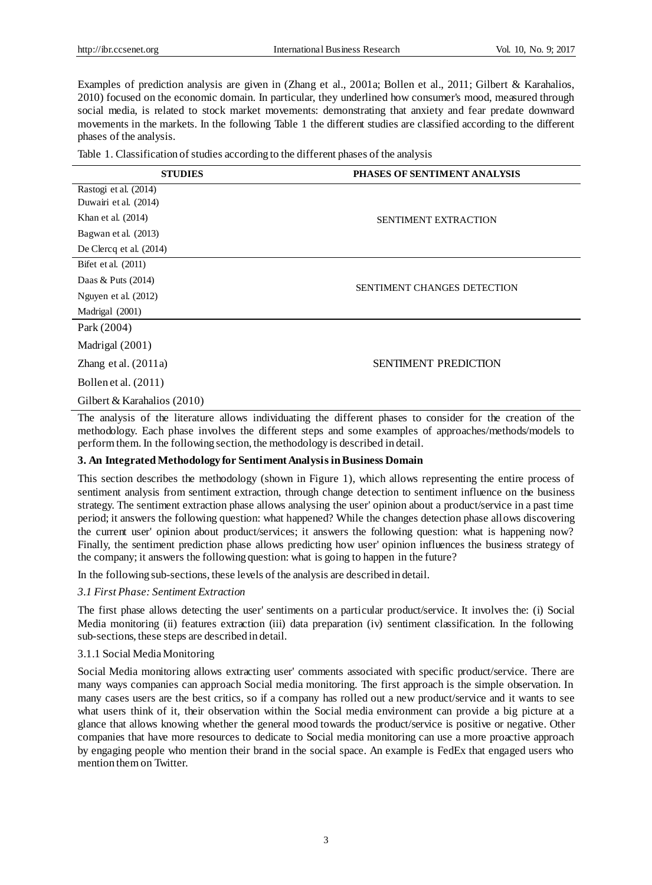Examples of prediction analysis are given in (Zhang et al., 2001a; Bollen et al., 2011; Gilbert & Karahalios, 2010) focused on the economic domain. In particular, they underlined how consumer's mood, measured through social media, is related to stock market movements: demonstrating that anxiety and fear predate downward movements in the markets. In the following Table 1 the different studies are classified according to the different phases of the analysis.

Table 1. Classification of studies according to the different phases of the analysis

| <b>STUDIES</b>                | PHASES OF SENTIMENT ANALYSIS |  |
|-------------------------------|------------------------------|--|
| Rastogi et al. (2014)         |                              |  |
| Duwairi et al. (2014)         |                              |  |
| Khan et al. (2014)            | <b>SENTIMENT EXTRACTION</b>  |  |
| Bagwan et al. (2013)          |                              |  |
| De Clercq et al. (2014)       |                              |  |
| Bifet et al. $(2011)$         |                              |  |
| Daas & Puts $(2014)$          |                              |  |
| Nguyen et al. (2012)          | SENTIMENT CHANGES DETECTION  |  |
| Madrigal (2001)               |                              |  |
| Park (2004)                   |                              |  |
| Madrigal (2001)               |                              |  |
| Zhang et al. $(2011a)$        | <b>SENTIMENT PREDICTION</b>  |  |
| Bollen et al. (2011)          |                              |  |
| Gilbert & Karahalios $(2010)$ |                              |  |

The analysis of the literature allows individuating the different phases to consider for the creation of the methodology. Each phase involves the different steps and some examples of approaches/methods/models to perform them. In the following section, the methodology is described in detail.

## **3. An Integrated Methodology for Sentiment Analysis in Business Domain**

This section describes the methodology (shown in Figure 1), which allows representing the entire process of sentiment analysis from sentiment extraction, through change detection to sentiment influence on the business strategy. The sentiment extraction phase allows analysing the user' opinion about a product/service in a past time period; it answers the following question: what happened? While the changes detection phase allows discovering the current user' opinion about product/services; it answers the following question: what is happening now? Finally, the sentiment prediction phase allows predicting how user' opinion influences the business strategy of the company; it answers the following question: what is going to happen in the future?

In the following sub-sections, these levels of the analysis are described in detail.

#### *3.1 First Phase: Sentiment Extraction*

The first phase allows detecting the user' sentiments on a particular product/service. It involves the: (i) Social Media monitoring (ii) features extraction (iii) data preparation (iv) sentiment classification. In the following sub-sections, these steps are described in detail.

## 3.1.1 Social Media Monitoring

Social Media monitoring allows extracting user' comments associated with specific product/service. There are many ways companies can approach Social media monitoring. The first approach is the simple observation. In many cases users are the best critics, so if a company has rolled out a new product/service and it wants to see what users think of it, their observation within the Social media environment can provide a big picture at a glance that allows knowing whether the general mood towards the product/service is positive or negative. Other companies that have more resources to dedicate to Social media monitoring can use a more proactive approach by engaging people who mention their brand in the social space. An example is FedEx that engaged users who mention them on Twitter.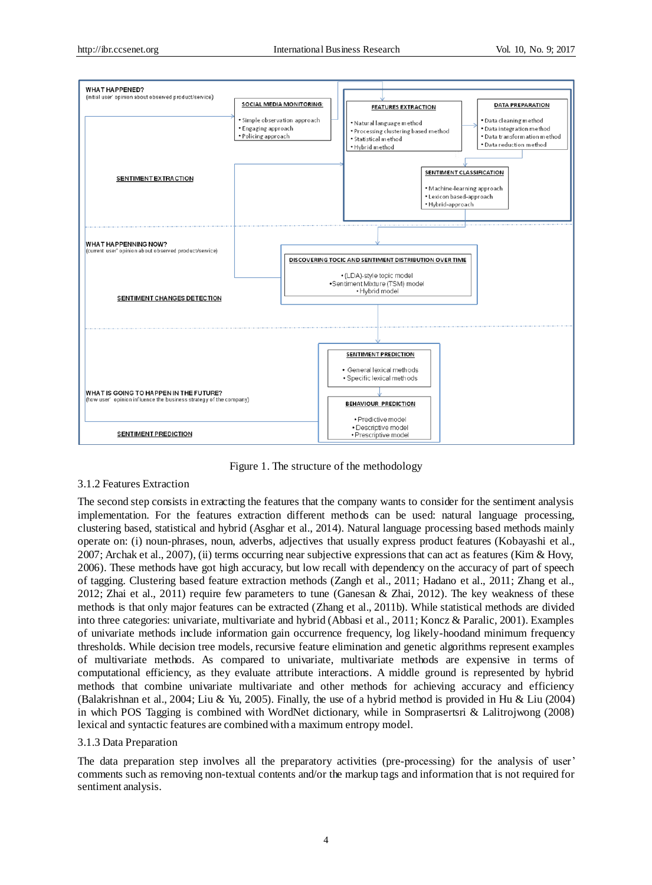

Figure 1. The structure of the methodology

## 3.1.2 Features Extraction

The second step consists in extracting the features that the company wants to consider for the sentiment analysis implementation. For the features extraction different methods can be used: natural language processing, clustering based, statistical and hybrid (Asghar et al., 2014). Natural language processing based methods mainly operate on: (i) noun-phrases, noun, adverbs, adjectives that usually express product features (Kobayashi et al., 2007; Archak et al., 2007), (ii) terms occurring near subjective expressions that can act as features (Kim & Hovy, 2006). These methods have got high accuracy, but low recall with dependency on the accuracy of part of speech of tagging. Clustering based feature extraction methods (Zangh et al., 2011; Hadano et al., 2011; Zhang et al., 2012; Zhai et al., 2011) require few parameters to tune (Ganesan & Zhai, 2012). The key weakness of these methods is that only major features can be extracted (Zhang et al., 2011b). While statistical methods are divided into three categories: univariate, multivariate and hybrid (Abbasi et al., 2011; Koncz & Paralic, 2001). Examples of univariate methods include information gain occurrence frequency, log likely-hoodand minimum frequency thresholds. While decision tree models, recursive feature elimination and genetic algorithms represent examples of multivariate methods. As compared to univariate, multivariate methods are expensive in terms of computational efficiency, as they evaluate attribute interactions. A middle ground is represented by hybrid methods that combine univariate multivariate and other methods for achieving accuracy and efficiency (Balakrishnan et al., 2004; Liu & Yu, 2005). Finally, the use of a hybrid method is provided in Hu & Liu (2004) in which POS Tagging is combined with WordNet dictionary, while in Somprasertsri & Lalitrojwong (2008) lexical and syntactic features are combined with a maximum entropy model.

## 3.1.3 Data Preparation

The data preparation step involves all the preparatory activities (pre-processing) for the analysis of user' comments such as removing non-textual contents and/or the markup tags and information that is not required for sentiment analysis.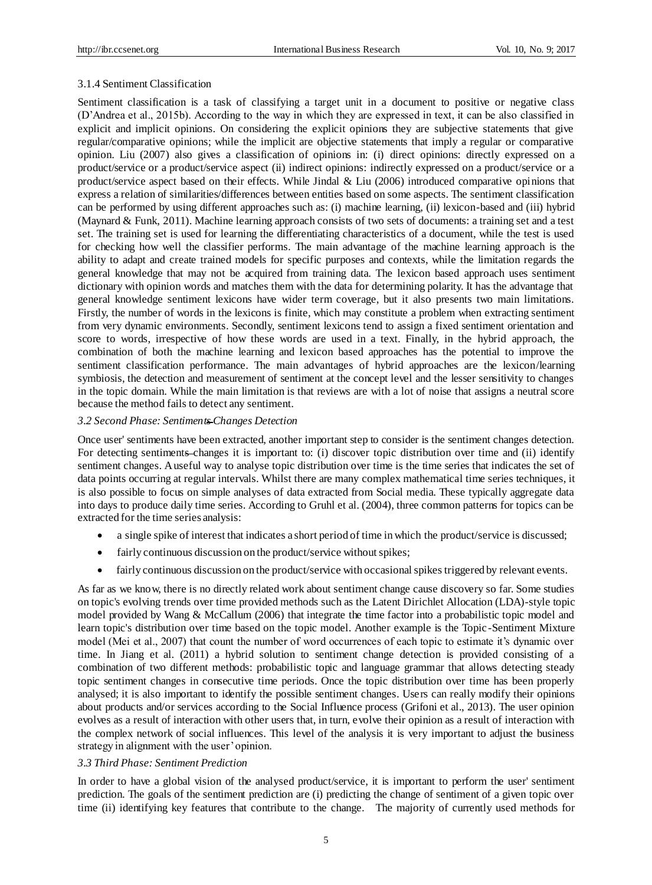#### 3.1.4 Sentiment Classification

Sentiment classification is a task of classifying a target unit in a document to positive or negative class (D'Andrea et al., 2015b). According to the way in which they are expressed in text, it can be also classified in explicit and implicit opinions. On considering the explicit opinions they are subjective statements that give regular/comparative opinions; while the implicit are objective statements that imply a regular or comparative opinion. Liu (2007) also gives a classification of opinions in: (i) direct opinions: directly expressed on a product/service or a product/service aspect (ii) indirect opinions: indirectly expressed on a product/service or a product/service aspect based on their effects. While Jindal & Liu (2006) introduced comparative opinions that express a relation of similarities/differences between entities based on some aspects. The sentiment classification can be performed by using different approaches such as: (i) machine learning, (ii) lexicon-based and (iii) hybrid (Maynard & Funk, 2011). Machine learning approach consists of two sets of documents: a training set and a test set. The training set is used for learning the differentiating characteristics of a document, while the test is used for checking how well the classifier performs. The main advantage of the machine learning approach is the ability to adapt and create trained models for specific purposes and contexts, while the limitation regards the general knowledge that may not be acquired from training data. The lexicon based approach uses sentiment dictionary with opinion words and matches them with the data for determining polarity. It has the advantage that general knowledge sentiment lexicons have wider term coverage, but it also presents two main limitations. Firstly, the number of words in the lexicons is finite, which may constitute a problem when extracting sentiment from very dynamic environments. Secondly, sentiment lexicons tend to assign a fixed sentiment orientation and score to words, irrespective of how these words are used in a text. Finally, in the hybrid approach, the combination of both the machine learning and lexicon based approaches has the potential to improve the sentiment classification performance. The main advantages of hybrid approaches are the lexicon/learning symbiosis, the detection and measurement of sentiment at the concept level and the lesser sensitivity to changes in the topic domain. While the main limitation is that reviews are with a lot of noise that assigns a neutral score because the method fails to detect any sentiment.

#### *3.2 Second Phase: Sentiments Changes Detection*

Once user' sentiments have been extracted, another important step to consider is the sentiment changes detection. For detecting sentiments changes it is important to: (i) discover topic distribution over time and (ii) identify sentiment changes. A useful way to analyse topic distribution over time is the time series that indicates the set of data points occurring at regular intervals. Whilst there are many complex mathematical time series techniques, it is also possible to focus on simple analyses of data extracted from Social media. These typically aggregate data into days to produce daily time series. According to Gruhl et al. (2004), three common patterns for topics can be extracted for the time series analysis:

- a single spike of interest that indicates a short period of time in which the product/service is discussed;
- fairly continuous discussion on the product/service without spikes;
- fairly continuous discussion on the product/service with occasional spikes triggered by relevant events.

As far as we know, there is no directly related work about sentiment change cause discovery so far. Some studies on topic's evolving trends over time provided methods such as the Latent Dirichlet Allocation (LDA)-style topic model provided by Wang & McCallum (2006) that integrate the time factor into a probabilistic topic model and learn topic's distribution over time based on the topic model. Another example is the Topic -Sentiment Mixture model (Mei et al., 2007) that count the number of word occurrences of each topic to estimate it's dynamic over time. In Jiang et al. (2011) a hybrid solution to sentiment change detection is provided consisting of a combination of two different methods: probabilistic topic and language grammar that allows detecting steady topic sentiment changes in consecutive time periods. Once the topic distribution over time has been properly analysed; it is also important to identify the possible sentiment changes. Users can really modify their opinions about products and/or services according to the Social Influence process (Grifoni et al., 2013). The user opinion evolves as a result of interaction with other users that, in turn, evolve their opinion as a result of interaction with the complex network of social influences. This level of the analysis it is very important to adjust the business strategy in alignment with the user' opinion.

#### *3.3 Third Phase: Sentiment Prediction*

In order to have a global vision of the analysed product/service, it is important to perform the user' sentiment prediction. The goals of the sentiment prediction are (i) predicting the change of sentiment of a given topic over time (ii) identifying key features that contribute to the change. The majority of currently used methods for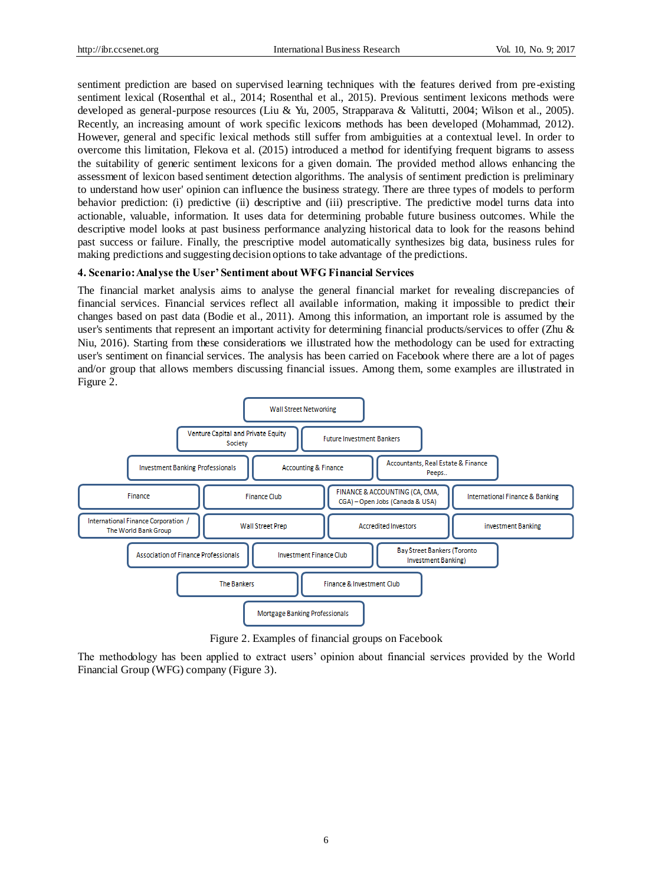sentiment prediction are based on supervised learning techniques with the features derived from pre-existing sentiment lexical (Rosenthal et al., 2014; Rosenthal et al., 2015). Previous sentiment lexicons methods were developed as general-purpose resources (Liu & Yu, 2005, Strapparava & Valitutti, 2004; Wilson et al., 2005). Recently, an increasing amount of work specific lexicons methods has been developed (Mohammad, 2012). However, general and specific lexical methods still suffer from ambiguities at a contextual level. In order to overcome this limitation, Flekova et al. (2015) introduced a method for identifying frequent bigrams to assess the suitability of generic sentiment lexicons for a given domain. The provided method allows enhancing the assessment of lexicon based sentiment detection algorithms. The analysis of sentiment prediction is preliminary to understand how user' opinion can influence the business strategy. There are three types of models to perform behavior prediction: (i) predictive (ii) descriptive and (iii) prescriptive. The predictive model turns data into actionable, valuable, information. It uses data for determining probable future business outcomes. While the descriptive model looks at past business performance analyzing historical data to look for the reasons behind past success or failure. Finally, the prescriptive model automatically synthesizes big data, business rules for making predictions and suggesting decision options to take advantage of the predictions.

#### **4. Scenario: Analyse the User' Sentiment about WFG Financial Services**

The financial market analysis aims to analyse the general financial market for revealing discrepancies of financial services. Financial services reflect all available information, making it impossible to predict their changes based on past data (Bodie et al., 2011). Among this information, an important role is assumed by the user's sentiments that represent an important activity for determining financial products/services to offer (Zhu & Niu, 2016). Starting from these considerations we illustrated how the methodology can be used for extracting user's sentiment on financial services. The analysis has been carried on Facebook where there are a lot of pages and/or group that allows members discussing financial issues. Among them, some examples are illustrated in Figure 2.



Figure 2. Examples of financial groups on Facebook

The methodology has been applied to extract users' opinion about financial services provided by the [World](https://www.facebook.com/world.financial.group.inc/?hc_ref=PAGES_TIMELINE&fref=nf)  [Financial Group \(WFG\)](https://www.facebook.com/world.financial.group.inc/?hc_ref=PAGES_TIMELINE&fref=nf) company (Figure 3).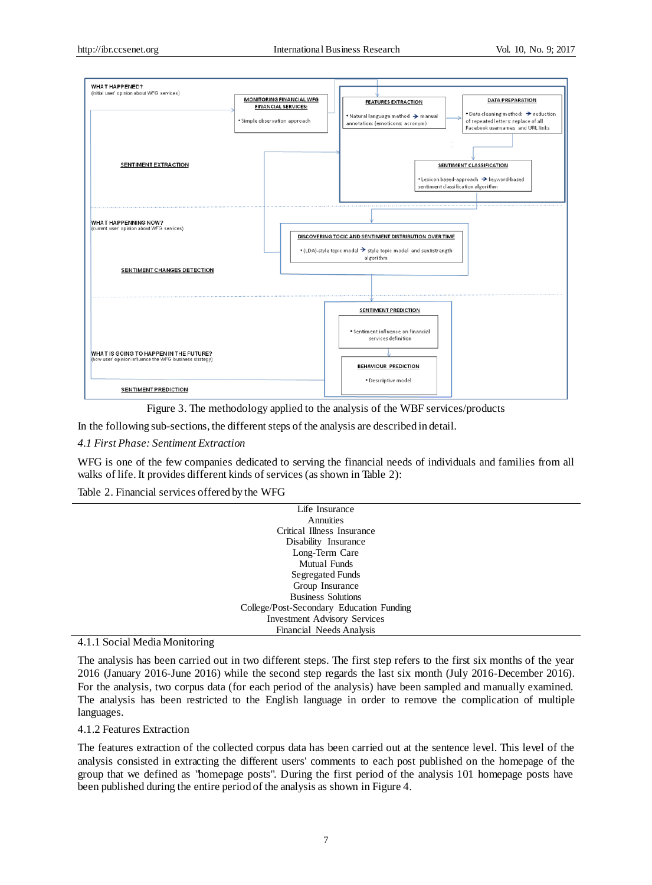

Figure 3. The methodology applied to the analysis of the WBF services/products

In the following sub-sections, the different steps of the analysis are described in detail.

*4.1 First Phase: Sentiment Extraction*

WFG is one of the few companies dedicated to serving the financial needs of individuals and families from all walks of life. It provides different kinds of services (as shown in Table 2):

Table 2. Financial services offered by the WFG

| Life Insurance                           |
|------------------------------------------|
| Annuities                                |
| Critical Illness Insurance               |
| Disability Insurance                     |
| Long-Term Care                           |
| <b>Mutual Funds</b>                      |
| <b>Segregated Funds</b>                  |
| Group Insurance                          |
| <b>Business Solutions</b>                |
| College/Post-Secondary Education Funding |
| <b>Investment Advisory Services</b>      |
| Financial Needs Analysis                 |

4.1.1 Social Media Monitoring

The analysis has been carried out in two different steps. The first step refers to the first six months of the year 2016 (January 2016-June 2016) while the second step regards the last six month (July 2016-December 2016). For the analysis, two corpus data (for each period of the analysis) have been sampled and manually examined. The analysis has been restricted to the English language in order to remove the complication of multiple languages.

## 4.1.2 Features Extraction

The features extraction of the collected corpus data has been carried out at the sentence level. This level of the analysis consisted in extracting the different users' comments to each post published on the homepage of the group that we defined as "homepage posts". During the first period of the analysis 101 homepage posts have been published during the entire period of the analysis as shown in Figure 4.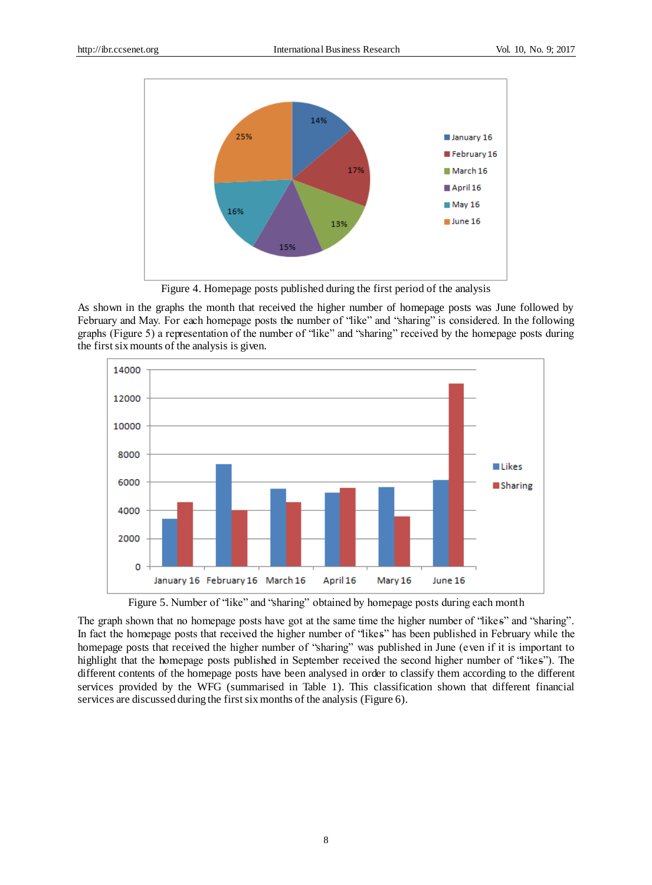

Figure 4. Homepage posts published during the first period of the analysis

As shown in the graphs the month that received the higher number of homepage posts was June followed by February and May. For each homepage posts the number of "like" and "sharing" is considered. In the following graphs (Figure 5) a representation of the number of "like" and "sharing" received by the homepage posts during the first six mounts of the analysis is given.



Figure 5. Number of "like" and "sharing" obtained by homepage posts during each month

The graph shown that no homepage posts have got at the same time the higher number of "likes" and "sharing". In fact the homepage posts that received the higher number of "likes" has been published in February while the homepage posts that received the higher number of "sharing" was published in June (even if it is important to highlight that the homepage posts published in September received the second higher number of "likes"). The different contents of the homepage posts have been analysed in order to classify them according to the different services provided by the WFG (summarised in Table 1). This classification shown that different financial services are discussed during the first six months of the analysis (Figure 6).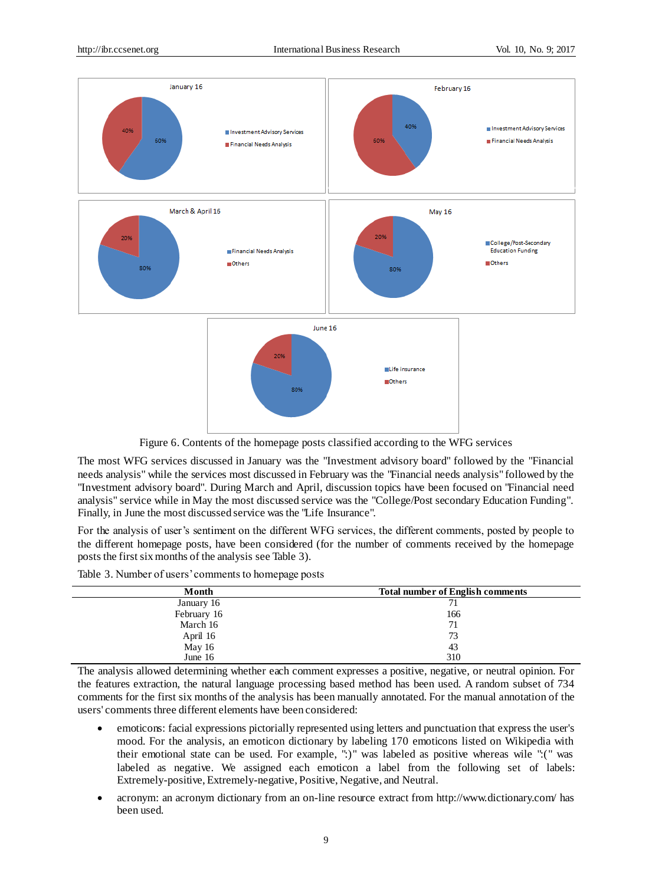

Figure 6. Contents of the homepage posts classified according to the WFG services

The most WFG services discussed in January was the "Investment advisory board" followed by the "Financial needs analysis" while the services most discussed in February was the "Financial needs analysis" followed by the "Investment advisory board". During March and April, discussion topics have been focused on "Financial need analysis" service while in May the most discussed service was the "College/Post secondary Education Funding". Finally, in June the most discussed service was the "Life Insurance".

For the analysis of user's sentiment on the different WFG services, the different comments, posted by people to the different homepage posts, have been considered (for the number of comments received by the homepage posts the first six months of the analysis see Table 3).

Table 3. Number of users' comments to homepage posts

| Month       | <b>Total number of English comments</b> |
|-------------|-----------------------------------------|
| January 16  | 71                                      |
| February 16 | 166                                     |
| March 16    | 71                                      |
| April 16    | 73                                      |
| May 16      | 43                                      |
| June 16     | 310                                     |

The analysis allowed determining whether each comment expresses a positive, negative, or neutral opinion. For the features extraction, the natural language processing based method has been used. A random subset of 734 comments for the first six months of the analysis has been manually annotated. For the manual annotation of the users' comments three different elements have been considered:

- emoticons: facial expressions pictorially represented using letters and punctuation that express the user's mood. For the analysis, an emoticon dictionary by labeling 170 emoticons listed on Wikipedia with their emotional state can be used. For example, ":)" was labeled as positive whereas wile ":(" was labeled as negative. We assigned each emoticon a label from the following set of labels: Extremely-positive, Extremely-negative, Positive, Negative, and Neutral.
- acronym: an acronym dictionary from an on-line resource extract from http://www.dictionary.com/ has been used.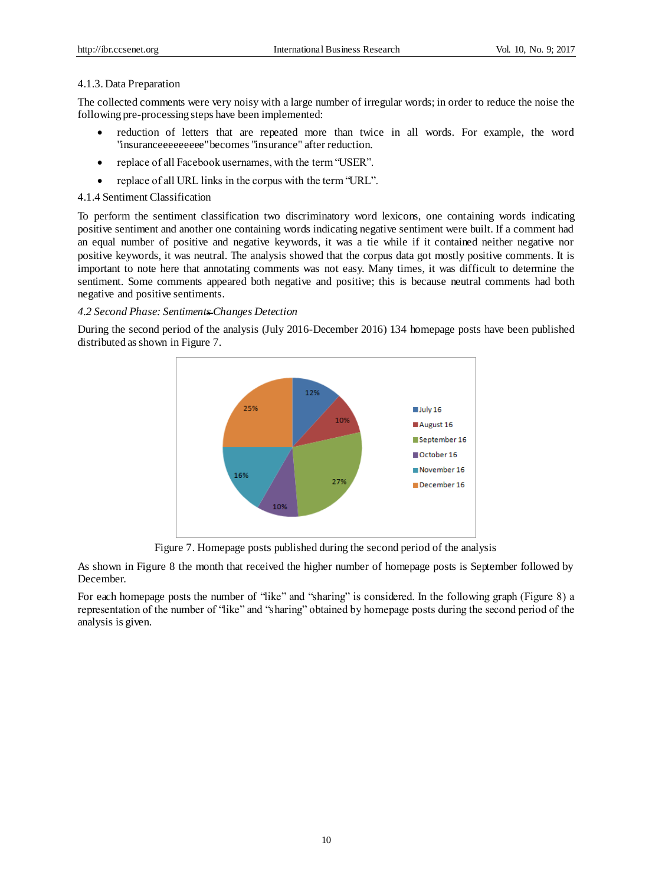### 4.1.3. Data Preparation

The collected comments were very noisy with a large number of irregular words; in order to reduce the noise the following pre-processing steps have been implemented:

- reduction of letters that are repeated more than twice in all words. For example, the word "insuranceeeeeeeee" becomes "insurance" after reduction.
- replace of all Facebook usernames, with the term "USER".
- replace of all URL links in the corpus with the term "URL".

## 4.1.4 Sentiment Classification

To perform the sentiment classification two discriminatory word lexicons, one containing words indicating positive sentiment and another one containing words indicating negative sentiment were built. If a comment had an equal number of positive and negative keywords, it was a tie while if it contained neither negative nor positive keywords, it was neutral. The analysis showed that the corpus data got mostly positive comments. It is important to note here that annotating comments was not easy. Many times, it was difficult to determine the sentiment. Some comments appeared both negative and positive; this is because neutral comments had both negative and positive sentiments.

## *4.2 Second Phase: Sentiments Changes Detection*

During the second period of the analysis (July 2016-December 2016) 134 homepage posts have been published distributed as shown in Figure 7.



Figure 7. Homepage posts published during the second period of the analysis

As shown in Figure 8 the month that received the higher number of homepage posts is September followed by December.

For each homepage posts the number of "like" and "sharing" is considered. In the following graph (Figure 8) a representation of the number of "like" and "sharing" obtained by homepage posts during the second period of the analysis is given.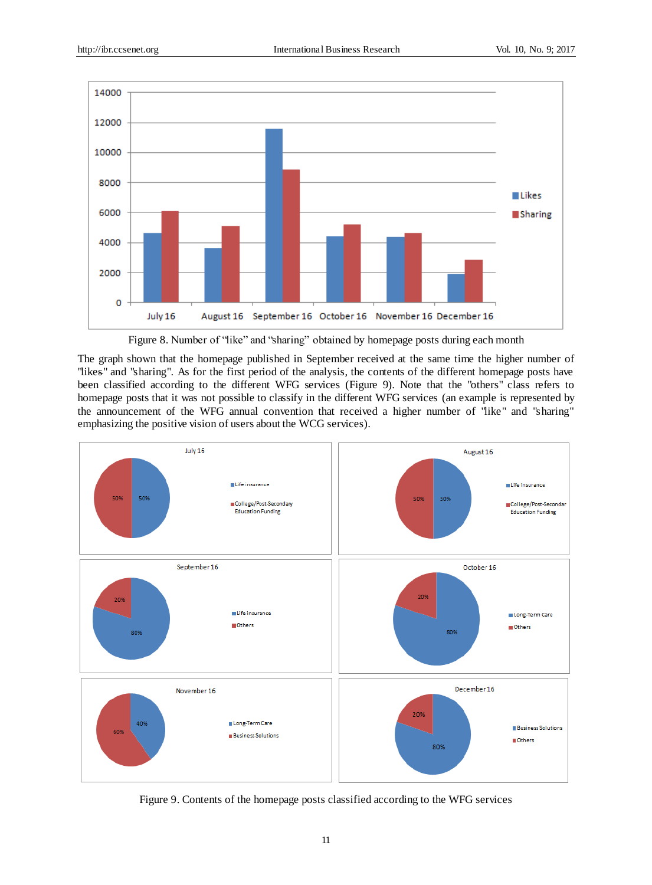

Figure 8. Number of "like" and "sharing" obtained by homepage posts during each month

The graph shown that the homepage published in September received at the same time the higher number of "likes" and "sharing". As for the first period of the analysis, the contents of the different homepage posts have been classified according to the different WFG services (Figure 9). Note that the "others" class refers to homepage posts that it was not possible to classify in the different WFG services (an example is represented by the announcement of the WFG annual convention that received a higher number of "like" and "sharing" emphasizing the positive vision of users about the WCG services).



Figure 9. Contents of the homepage posts classified according to the WFG services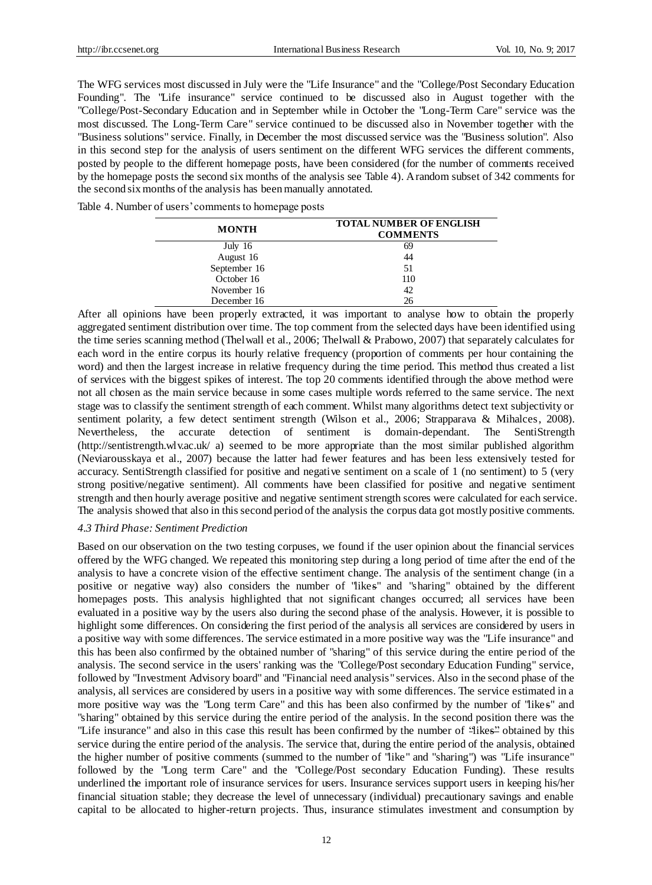The WFG services most discussed in July were the "Life Insurance" and the "College/Post Secondary Education Founding". The "Life insurance" service continued to be discussed also in August together with the "College/Post-Secondary Education and in September while in October the "Long-Term Care" service was the most discussed. The Long-Term Care" service continued to be discussed also in November together with the "Business solutions" service. Finally, in December the most discussed service was the "Business solution". Also in this second step for the analysis of users sentiment on the different WFG services the different comments, posted by people to the different homepage posts, have been considered (for the number of comments received by the homepage posts the second six months of the analysis see Table 4). A random subset of 342 comments for the second six months of the analysis has been manually annotated.

Table 4. Number of users' comments to homepage posts

| <b>MONTH</b> | <b>TOTAL NUMBER OF ENGLISH</b><br><b>COMMENTS</b> |
|--------------|---------------------------------------------------|
| July $16$    | 69                                                |
| August 16    | 44                                                |
| September 16 | 51                                                |
| October 16   | 110                                               |
| November 16  | 42                                                |
| December 16  | 26                                                |

After all opinions have been properly extracted, it was important to analyse how to obtain the properly aggregated sentiment distribution over time. The top comment from the selected days have been identified using the time series scanning method (Thelwall et al., 2006; Thelwall & Prabowo, 2007) that separately calculates for each word in the entire corpus its hourly relative frequency (proportion of comments per hour containing the word) and then the largest increase in relative frequency during the time period. This method thus created a list of services with the biggest spikes of interest. The top 20 comments identified through the above method were not all chosen as the main service because in some cases multiple words referred to the same service. The next stage was to classify the sentiment strength of each comment. Whilst many algorithms detect text subjectivity or sentiment polarity, a few detect sentiment strength (Wilson et al., 2006; Strapparava & Mihalces, 2008). Nevertheless, the accurate detection of sentiment is domain-dependant. The SentiStrength (http://sentistrength.wlv.ac.uk/ a) seemed to be more appropriate than the most similar published algorithm (Neviarousskaya et al., 2007) because the latter had fewer features and has been less extensively tested for accuracy. SentiStrength classified for positive and negative sentiment on a scale of 1 (no sentiment) to 5 (very strong positive/negative sentiment). All comments have been classified for positive and negative sentiment strength and then hourly average positive and negative sentiment strength scores were calculated for each service. The analysis showed that also in this second period of the analysis the corpus data got mostly positive comments.

#### *4.3 Third Phase: Sentiment Prediction*

Based on our observation on the two testing corpuses, we found if the user opinion about the financial services offered by the WFG changed. We repeated this monitoring step during a long period of time after the end of the analysis to have a concrete vision of the effective sentiment change. The analysis of the sentiment change (in a positive or negative way) also considers the number of "likes" and "sharing" obtained by the different homepages posts. This analysis highlighted that not significant changes occurred; all services have been evaluated in a positive way by the users also during the second phase of the analysis. However, it is possible to highlight some differences. On considering the first period of the analysis all services are considered by users in a positive way with some differences. The service estimated in a more positive way was the "Life insurance" and this has been also confirmed by the obtained number of "sharing" of this service during the entire period of the analysis. The second service in the users' ranking was the "College/Post secondary Education Funding" service, followed by "Investment Advisory board" and "Financial need analysis" services. Also in the second phase of the analysis, all services are considered by users in a positive way with some differences. The service estimated in a more positive way was the "Long term Care" and this has been also confirmed by the number of "likes" and "sharing" obtained by this service during the entire period of the analysis. In the second position there was the "Life insurance" and also in this case this result has been confirmed by the number of "likes" obtained by this service during the entire period of the analysis. The service that, during the entire period of the analysis, obtained the higher number of positive comments (summed to the number of "like" and "sharing") was "Life insurance" followed by the "Long term Care" and the "College/Post secondary Education Funding). These results underlined the important role of insurance services for users. Insurance services support users in keeping his/her financial situation stable; they decrease the level of unnecessary (individual) precautionary savings and enable capital to be allocated to higher-return projects. Thus, insurance stimulates investment and consumption by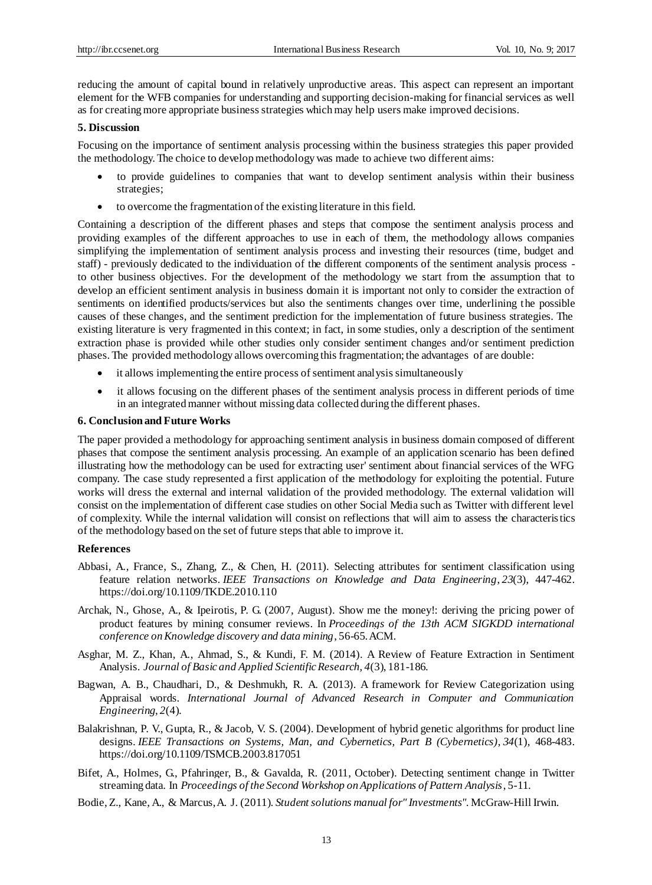reducing the amount of capital bound in relatively unproductive areas. This aspect can represent an important element for the WFB companies for understanding and supporting decision-making for financial services as well as for creating more appropriate business strategies which may help users make improved decisions.

#### **5. Discussion**

Focusing on the importance of sentiment analysis processing within the business strategies this paper provided the methodology. The choice to develop methodology was made to achieve two different aims:

- to provide guidelines to companies that want to develop sentiment analysis within their business strategies;
- to overcome the fragmentation of the existing literature in this field.

Containing a description of the different phases and steps that compose the sentiment analysis process and providing examples of the different approaches to use in each of them, the methodology allows companies simplifying the implementation of sentiment analysis process and investing their resources (time, budget and staff) - previously dedicated to the individuation of the different components of the sentiment analysis process to other business objectives. For the development of the methodology we start from the assumption that to develop an efficient sentiment analysis in business domain it is important not only to consider the extraction of sentiments on identified products/services but also the sentiments changes over time, underlining the possible causes of these changes, and the sentiment prediction for the implementation of future business strategies. The existing literature is very fragmented in this context; in fact, in some studies, only a description of the sentiment extraction phase is provided while other studies only consider sentiment changes and/or sentiment prediction phases. The provided methodology allows overcoming this fragmentation; the advantages of are double:

- it allows implementing the entire process of sentiment analysis simultaneously
- it allows focusing on the different phases of the sentiment analysis process in different periods of time in an integrated manner without missing data collected during the different phases.

#### **6. Conclusion and Future Works**

The paper provided a methodology for approaching sentiment analysis in business domain composed of different phases that compose the sentiment analysis processing. An example of an application scenario has been defined illustrating how the methodology can be used for extracting user' sentiment about financial services of the WFG company. The case study represented a first application of the methodology for exploiting the potential. Future works will dress the external and internal validation of the provided methodology. The external validation will consist on the implementation of different case studies on other Social Media such as Twitter with different level of complexity. While the internal validation will consist on reflections that will aim to assess the characteristics of the methodology based on the set of future steps that able to improve it.

#### **References**

- Abbasi, A., France, S., Zhang, Z., & Chen, H. (2011). Selecting attributes for sentiment classification using feature relation networks. *IEEE Transactions on Knowledge and Data Engineering*, *23*(3), 447-462. https://doi.org/10.1109/TKDE.2010.110
- Archak, N., Ghose, A., & Ipeirotis, P. G. (2007, August). Show me the money!: deriving the pricing power of product features by mining consumer reviews. In *Proceedings of the 13th ACM SIGKDD international conference on Knowledge discovery and data mining*, 56-65. ACM.
- Asghar, M. Z., Khan, A., Ahmad, S., & Kundi, F. M. (2014). A Review of Feature Extraction in Sentiment Analysis. *Journal of Basic and Applied Scientific Research*, *4*(3), 181-186.
- Bagwan, A. B., Chaudhari, D., & Deshmukh, R. A. (2013). A framework for Review Categorization using Appraisal words. *International Journal of Advanced Research in Computer and Communication Engineering*, *2*(4).
- Balakrishnan, P. V., Gupta, R., & Jacob, V. S. (2004). Development of hybrid genetic algorithms for product line designs. *IEEE Transactions on Systems, Man, and Cybernetics, Part B (Cybernetics)*, *34*(1), 468-483. https://doi.org/10.1109/TSMCB.2003.817051
- Bifet, A., Holmes, G., Pfahringer, B., & Gavalda, R. (2011, October). Detecting sentiment change in Twitter streaming data. In *Proceedings of the Second Workshop on Applications of Pattern Analysis*, 5-11.
- Bodie, Z., Kane, A., & Marcus, A. J. (2011). *Student solutions manual for" Investments".* McGraw-Hill Irwin.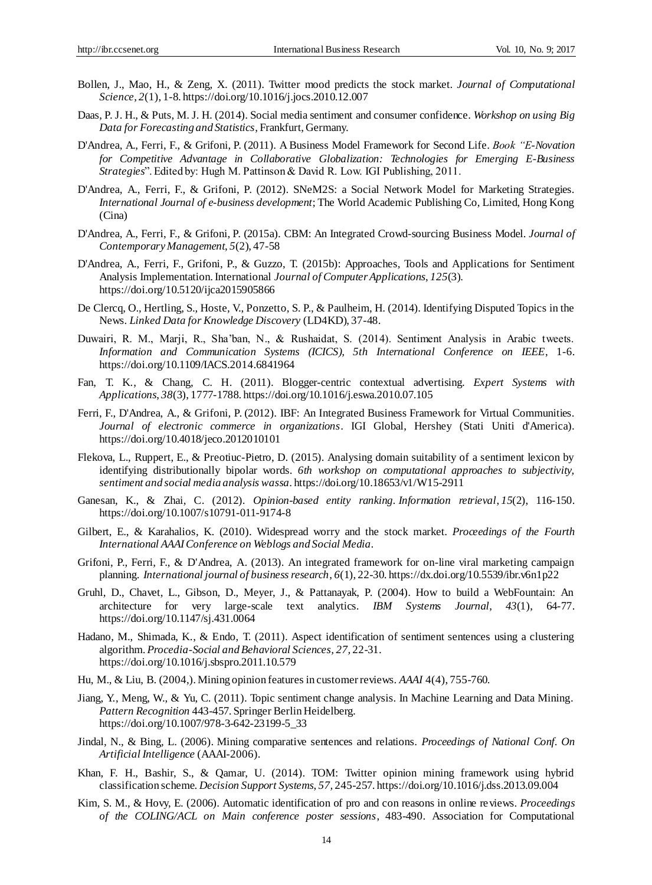- Bollen, J., Mao, H., & Zeng, X. (2011). Twitter mood predicts the stock market. *Journal of Computational Science*, *2*(1), 1-8. https://doi.org/10.1016/j.jocs.2010.12.007
- Daas, P. J. H., & Puts, M. J. H. (2014). Social media sentiment and consumer confidence. *Workshop on using Big Data for Forecasting and Statistics*, Frankfurt, Germany.
- D'Andrea, A., Ferri, F., & Grifoni, P. (2011). A Business Model Framework for Second Life. *Book "E-Novation for Competitive Advantage in Collaborative Globalization: Technologies for Emerging E-Business Strategies*". Edited by: Hugh M. Pattinson & David R. Low. IGI Publishing, 2011.
- D'Andrea, A., Ferri, F., & Grifoni, P. (2012). SNeM2S: a Social Network Model for Marketing Strategies. *International Journal of e-business development*; The World Academic Publishing Co, Limited, Hong Kong (Cina)
- D'Andrea, A., Ferri, F., & Grifoni, P. (2015a). CBM: An Integrated Crowd-sourcing Business Model. *Journal of Contemporary Management*, *5*(2), 47-58
- D'Andrea, A., Ferri, F., Grifoni, P., & Guzzo, T. (2015b): Approaches, Tools and Applications for Sentiment Analysis Implementation. International *Journal of Computer Applications*, *125*(3). https://doi.org/10.5120/ijca2015905866
- De Clercq, O., Hertling, S., Hoste, V., Ponzetto, S. P., & Paulheim, H. (2014). Identifying Disputed Topics in the News. *Linked Data for Knowledge Discovery* (LD4KD), 37-48.
- Duwairi, R. M., Marji, R., Sha'ban, N., & Rushaidat, S. (2014). Sentiment Analysis in Arabic tweets. *Information and Communication Systems (ICICS), 5th International Conference on IEEE*, 1-6. https://doi.org/10.1109/IACS.2014.6841964
- Fan, T. K., & Chang, C. H. (2011). Blogger-centric contextual advertising. *Expert Systems with Applications*, *38*(3), 1777-1788. https://doi.org/10.1016/j.eswa.2010.07.105
- Ferri, F., D'Andrea, A., & Grifoni, P. (2012). IBF: An Integrated Business Framework for Virtual Communities. *Journal of electronic commerce in organizations*. IGI Global, Hershey (Stati Uniti d'America). https://doi.org/10.4018/jeco.2012010101
- Flekova, L., Ruppert, E., & Preotiuc-Pietro, D. (2015). Analysing domain suitability of a sentiment lexicon by identifying distributionally bipolar words. *6th workshop on computational approaches to subjectivity, sentiment and social media analysis wassa*. https://doi.org/10.18653/v1/W15-2911
- Ganesan, K., & Zhai, C. (2012). *Opinion-based entity ranking. Information retrieval*, *15*(2), 116-150. https://doi.org/10.1007/s10791-011-9174-8
- Gilbert, E., & Karahalios, K. (2010). Widespread worry and the stock market. *Proceedings of the Fourth International AAAI Conference on Weblogs and Social Media*.
- Grifoni, P., Ferri, F., & D'Andrea, A. (2013). An integrated framework for on-line viral marketing campaign planning. *International journal of business research*, *6*(1), 22-30[. https://dx.doi.org/10.5539/ibr.v6n1p22](http://dx.doi.org/10.5539/ibr.v6n1p22)
- Gruhl, D., Chavet, L., Gibson, D., Meyer, J., & Pattanayak, P. (2004). How to build a WebFountain: An architecture for very large-scale text analytics. *IBM Systems Journal*, *43*(1), 64-77. https://doi.org/10.1147/sj.431.0064
- Hadano, M., Shimada, K., & Endo, T. (2011). Aspect identification of sentiment sentences using a clustering algorithm. *Procedia-Social and Behavioral Sciences, 27,* 22-31. https://doi.org/10.1016/j.sbspro.2011.10.579
- Hu, M., & Liu, B. (2004,). Mining opinion features in customer reviews. *AAAI* 4(4), 755-760.
- Jiang, Y., Meng, W., & Yu, C. (2011). Topic sentiment change analysis. In Machine Learning and Data Mining. *Pattern Recognition* 443-457. Springer Berlin Heidelberg. https://doi.org/10.1007/978-3-642-23199-5\_33
- Jindal, N., & Bing, L. (2006). Mining comparative sentences and relations. *Proceedings of National Conf. On Artificial Intelligence* (AAAI-2006).
- Khan, F. H., Bashir, S., & Qamar, U. (2014). TOM: Twitter opinion mining framework using hybrid classification scheme. *Decision Support Systems*, *57,* 245-257. https://doi.org/10.1016/j.dss.2013.09.004
- Kim, S. M., & Hovy, E. (2006). Automatic identification of pro and con reasons in online reviews. *Proceedings of the COLING/ACL on Main conference poster sessions*, 483-490. Association for Computational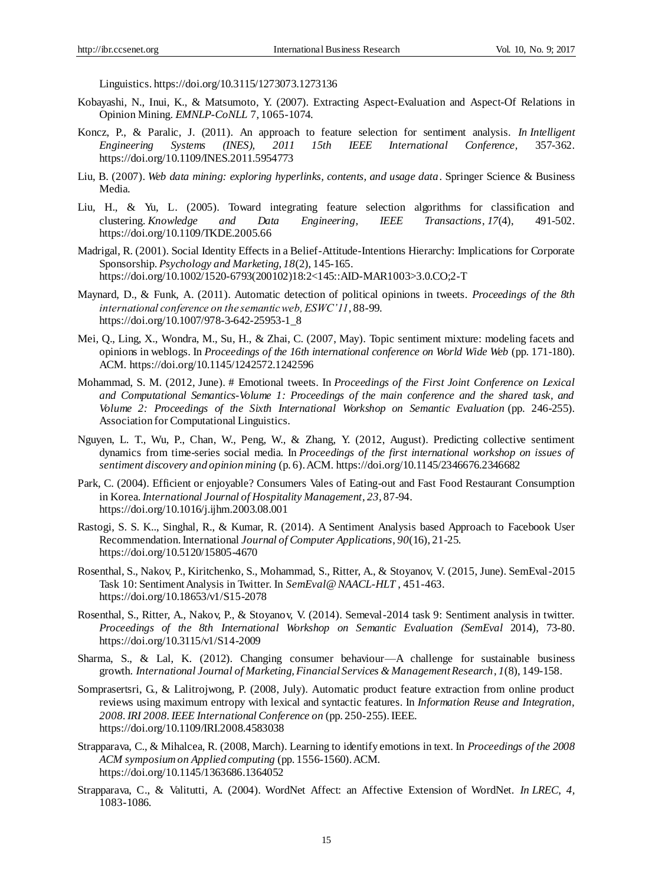Linguistics. https://doi.org/10.3115/1273073.1273136

- Kobayashi, N., Inui, K., & Matsumoto, Y. (2007). Extracting Aspect-Evaluation and Aspect-Of Relations in Opinion Mining. *EMNLP-CoNLL* 7, 1065-1074.
- Koncz, P., & Paralic, J. (2011). An approach to feature selection for sentiment analysis. *In Intelligent Engineering Systems (INES), 2011 15th IEEE International Conference,* 357-362. https://doi.org/10.1109/INES.2011.5954773
- Liu, B. (2007). *Web data mining: exploring hyperlinks, contents, and usage data*. Springer Science & Business Media.
- Liu, H., & Yu, L. (2005). Toward integrating feature selection algorithms for classification and clustering. *Knowledge and Data Engineering, IEEE Transactions*, *17*(4), 491-502. https://doi.org/10.1109/TKDE.2005.66
- Madrigal, R. (2001). Social Identity Effects in a Belief-Attitude-Intentions Hierarchy: Implications for Corporate Sponsorship. *Psychology and Marketing*, *18*(2), 145-165. https://doi.org/10.1002/1520-6793(200102)18:2<145::AID-MAR1003>3.0.CO;2-T
- Maynard, D., & Funk, A. (2011). Automatic detection of political opinions in tweets. *Proceedings of the 8th international conference on the semantic web, ESWC'11*, 88-99. https://doi.org/10.1007/978-3-642-25953-1\_8
- Mei, Q., Ling, X., Wondra, M., Su, H., & Zhai, C. (2007, May). Topic sentiment mixture: modeling facets and opinions in weblogs. In *Proceedings of the 16th international conference on World Wide Web* (pp. 171-180). ACM. https://doi.org/10.1145/1242572.1242596
- Mohammad, S. M. (2012, June). # Emotional tweets. In *Proceedings of the First Joint Conference on Lexical and Computational Semantics-Volume 1: Proceedings of the main conference and the shared task, and Volume 2: Proceedings of the Sixth International Workshop on Semantic Evaluation* (pp. 246-255). Association for Computational Linguistics.
- Nguyen, L. T., Wu, P., Chan, W., Peng, W., & Zhang, Y. (2012, August). Predicting collective sentiment dynamics from time-series social media. In *Proceedings of the first international workshop on issues of sentiment discovery and opinion mining* (p. 6). ACM. https://doi.org/10.1145/2346676.2346682
- Park, C. (2004). Efficient or enjoyable? Consumers Vales of Eating-out and Fast Food Restaurant Consumption in Korea. *International Journal of Hospitality Management*, *23,* 87-94. https://doi.org/10.1016/j.ijhm.2003.08.001
- Rastogi, S. S. K.., Singhal, R., & Kumar, R. (2014). A Sentiment Analysis based Approach to Facebook User Recommendation. International *Journal of Computer Applications*, *90*(16), 21-25. https://doi.org/10.5120/15805-4670
- Rosenthal, S., Nakov, P., Kiritchenko, S., Mohammad, S., Ritter, A., & Stoyanov, V. (2015, June). SemEval-2015 Task 10: Sentiment Analysis in Twitter. In *SemEval@ NAACL-HLT* , 451-463. https://doi.org/10.18653/v1/S15-2078
- Rosenthal, S., Ritter, A., Nakov, P., & Stoyanov, V. (2014). Semeval-2014 task 9: Sentiment analysis in twitter. *Proceedings of the 8th International Workshop on Semantic Evaluation (SemEval 2014), 73-80.* https://doi.org/10.3115/v1/S14-2009
- Sharma, S., & Lal, K. (2012). Changing consumer behaviour—A challenge for sustainable business growth. *International Journal of Marketing, Financial Services & Management Research*, *1*(8), 149-158.
- Somprasertsri, G., & Lalitrojwong, P. (2008, July). Automatic product feature extraction from online product reviews using maximum entropy with lexical and syntactic features. In *Information Reuse and Integration, 2008. IRI 2008. IEEE International Conference on* (pp. 250-255). IEEE. https://doi.org/10.1109/IRI.2008.4583038
- Strapparava, C., & Mihalcea, R. (2008, March). Learning to identify emotions in text. In *Proceedings of the 2008 ACM symposium on Applied computing* (pp. 1556-1560). ACM. https://doi.org/10.1145/1363686.1364052
- Strapparava, C., & Valitutti, A. (2004). WordNet Affect: an Affective Extension of WordNet. *In LREC*, *4,*  1083-1086.